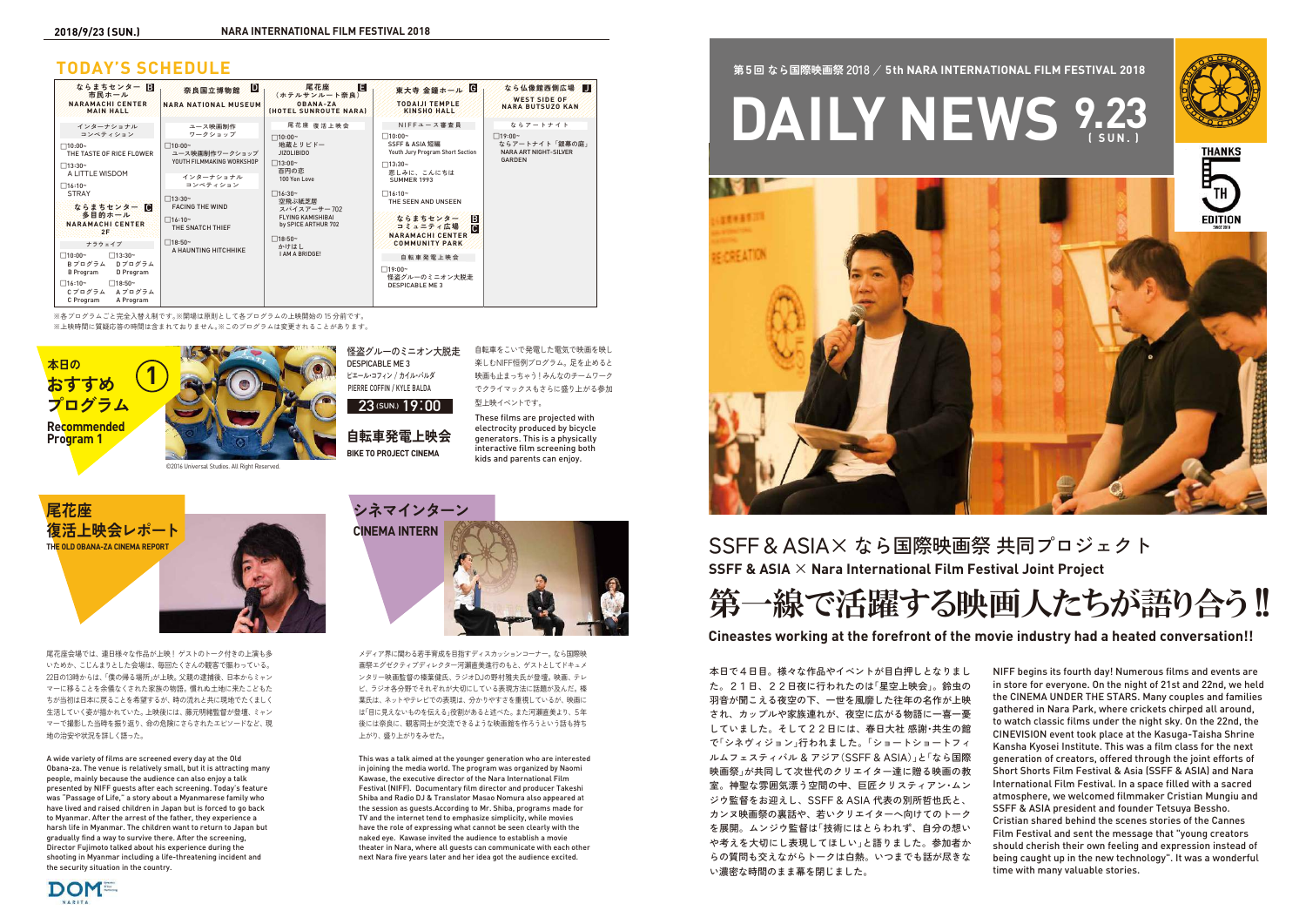**BIKE TO PROJECT CINEMA 自転車発電上映会** 自転車をこいで発電した電気で映画を映し 楽しむNIFF恒例プログラム。足を止めると 映画も止まっちゃう!みんなのチームワーク

怪盗グルーのミニオン大脱走 DESPICABLE ME 3 ピエール・コフィン / カイル・バルダ PIERRE COFFIN / KYLE BALDA

でクライマックスもさらに盛り上がる参加 型上映イベントです。 These films are projected with electrocity produced by bicycle generators. This is a physically interactive film screening both

kids and parents can enjoy.

### **TODAY'S SCHEDULE**

本日で4日目。様々な作品やイベントが目白押しとなりまし た。21日、22日夜に行われたのは「星空上映会」。鈴虫の 羽音が聞こえる夜空の下、一世を風靡した往年の名作が上映 され、カップルや家族連れが、夜空に広がる物語に一喜一憂 していました。そして22日には、春日大社 感謝・共生の館 で「シネヴィジョン」行われました。「ショートショートフィ ルムフェスティバル & アジア(SSFF & ASIA)」と「なら国際 映画祭」が共同して次世代のクリエイター達に贈る映画の教 室。神聖な雰囲気漂う空間の中、巨匠クリスティアン・ムン ジウ監督をお迎えし、SSFF & ASIA 代表の別所哲也氏と、 カンヌ映画祭の裏話や、若いクリエイターへ向けてのトーク を展開。ムンジウ監督は「技術にはとらわれず、自分の想い や考えを大切にし表現してほしい」と語りました。参加者か らの質問も交えながらトークは白熱。いつまでも話が尽きな い濃密な時間のまま幕を閉じました。



# 第一線で活躍する映画人たちが語り合う!!



| ならまちセンター 日<br>市民ホール<br>NARAMACHICENTER<br><b>MAIN HALL</b>                                                                                                                                                                                                                                                                                                                     | ID.<br>奈良国立博物館<br><b>NARA NATIONAL MUSEUM</b>                                                                                                                                                                                        | Е<br>尾花座<br>(ホテルサンルート奈良)<br>$0BANA-ZA$<br><b><i>IHOTEL SUNROUTE NARAI</i></b>                                                                                                                                                                       | 東大寺 金鐘ホール 6<br><b>TODAUI TEMPLE</b><br><b>KINSHO HALL</b>                                                                                                                                                                                                                                                                                             | なら仏像館西側広場<br><b>WEST SIDE OF</b><br><b>NARA BUTSUZO KAN</b>                                  |
|--------------------------------------------------------------------------------------------------------------------------------------------------------------------------------------------------------------------------------------------------------------------------------------------------------------------------------------------------------------------------------|--------------------------------------------------------------------------------------------------------------------------------------------------------------------------------------------------------------------------------------|-----------------------------------------------------------------------------------------------------------------------------------------------------------------------------------------------------------------------------------------------------|-------------------------------------------------------------------------------------------------------------------------------------------------------------------------------------------------------------------------------------------------------------------------------------------------------------------------------------------------------|----------------------------------------------------------------------------------------------|
| インターナショナル<br>コンペティション<br>$\Box 10:00-$<br>THE TASTE OF RICE FLOWER<br>$\Box$ 13:30~<br>A LITTLE WISDOM<br>$\Box$ 16:10~<br><b>STRAY</b><br>ならまちセンター 0<br>多目的ホール<br><b>NARAMACHI CENTER</b><br>:2F<br>ナラウェイブ<br>$\Box$ 13:30~<br>$\Box 10:00-$<br>Dプログラム<br>Bプログラム<br>B Program<br>D Program<br>$\Box$ 16:10~<br>$\square$ 18:50~<br>Cプログラム<br>Aプログラム<br>C Program<br>A Program | ユース映画制作<br>ワークショップ<br>$\Box$ 10:00~<br>ユース映画制作ワークショップ<br>YOUTH FILMMAKING WORKSHOP<br>インターナショナル<br>コンペティション<br>$\Box$ 13:30~<br><b>FACING THE WIND</b><br>$\Box$ 16:10~<br>THE SNATCH THIEF<br>$\Box$ 18:50~<br>A HAUNTING HITCHHIKE | 尾花座 復活上映会<br>$\Box 10:00 -$<br>地蔵とリビドー<br><b>JIZOLIBIDO</b><br>$\Box$ 13:00~<br>百円の恋<br>100 Yen Love<br>$\Box$ 16:30~<br>空飛ぶ紙芝居<br>スパイスアーサー702<br><b>FLYING KAMISHIBAI</b><br>by SPICE ARTHUR 702<br>$\Box$ 18:50~<br>かけはし<br><b>I AM A BRIDGE!</b> | NIFFユース審査員<br>$\Box 10:00 -$<br>SSFF & ASIA 短編<br>Youth Jury Program Short Section<br>$\Box$ 13:30~<br>悲しみに、こんにちは<br><b>SUMMER 1993</b><br>$\Box$ 16:10~<br>THE SEEN AND UNSEEN<br>B<br>ならまちセンター<br><b>ic.</b><br>コミュニティ広場<br><b>NARAMACHI CENTER</b><br><b>COMMUNITY PARK</b><br>自転車発電上映会<br>$\Box$ 19:00~<br>怪盗グルーのミニオン大脱走<br><b>DESPICABLE ME3</b> | ならアートナイト<br>$\Box$ 19:00~<br>ならアートナイト「銀幕の庭」<br><b>NARA ART NIGHT-SILVER</b><br><b>GARDEN</b> |

NIFF begins its fourth day! Numerous films and events are in store for everyone. On the night of 21st and 22nd, we held the CINEMA UNDER THE STARS. Many couples and families gathered in Nara Park, where crickets chirped all around, to watch classic films under the night sky. On the 22nd, the CINEVISION event took place at the Kasuga-Taisha Shrine Kansha Kyosei Institute. This was a film class for the next generation of creators, offered through the joint efforts of Short Shorts Film Festival & Asia (SSFF & ASIA) and Nara International Film Festival. In a space filled with a sacred atmosphere, we welcomed filmmaker Cristian Mungiu and SSFF & ASIA president and founder Tetsuya Bessho. Cristian shared behind the scenes stories of the Cannes Film Festival and sent the message that "young creators should cherish their own feeling and expression instead of being caught up in the new technology". It was a wonderful time with many valuable stories.

※各プログラムごと完全入替え制です。※開場は原則として各プログラムの上映開始の 15 分前です。

※上映時間に質疑応答の時間は含まれておりません。※このプログラムは変更されることがあります。

### **Cineastes working at the forefront of the movie industry had a heated conversation!!**

**SSFF & ASIA** × **Nara International Film Festival Joint Project** SSFF&ASIA× なら国際映画祭 共同プロジェクト





**23(SUN.) 19**:**00**

尾花座会場では、連日様々な作品が上映! ゲストのトーク付きの上演も多 いためか、こじんまりとした会場は、毎回たくさんの観客で賑わっている。 22日の13時からは、「僕の帰る場所」が上映。 父親の逮捕後、日本からミャン マーに移ることを余儀なくされた家族の物語。慣れぬ土地に来たこどもた ちが当初は日本に戻ることを希望するが、時の流れと共に現地でたくましく 生活していく姿が描かれていた。 上映後には、藤元明緒監督が登壇、ミャン マーで撮影した当時を振り返り、命の危険にさらされたエピソードなど、現 地の治安や状況を詳しく語った。

**尾花座 復活上映会レポート THE OLD OBANA-ZA CINEMA REPORT**



A wide variety of films are screened every day at the Old Obana-za. The venue is relatively small, but it is attracting many people, mainly because the audience can also enjoy a talk presented by NIFF guests after each screening. Today's feature was "Passage of Life," a story about a Myanmarese family who have lived and raised children in Japan but is forced to go back to Myanmar. After the arrest of the father, they experience a harsh life in Myanmar. The children want to return to Japan but gradually find a way to survive there. After the screening, Director Fujimoto talked about his experience during the shooting in Myanmar including a life-threatening incident and the security situation in the country.

メディア界に関わる若手育成を目指すディスカッションコーナー。なら国際映 画祭エグゼクティブディレクター河瀨直美進行のもと、ゲストとしてドキュメ ンタリー映画監督の榛葉健氏、ラジオDJの野村雅夫氏が登壇。映画、テレ ビ、ラジオ各分野でそれぞれが大切にしている表現方法に話題が及んだ。榛 葉氏は、ネットやテレビでの表現は、分かりやすさを重視しているが、映画に は「目に見えないものを伝える」役割があると述べた。また河瀨直美より、5年 後には奈良に、観客同士が交流できるような映画館を作ろうという話も持ち 上がり、盛り上がりをみせた。



This was a talk aimed at the younger generation who are interested in joining the media world. The program was organized by Naomi Kawase, the executive director of the Nara International Film Festival (NIFF). Documentary film director and producer Takeshi Shiba and Radio DJ & Translator Masao Nomura also appeared at the session as guests.According to Mr. Shiba, programs made for TV and the internet tend to emphasize simplicity, while movies have the role of expressing what cannot be seen clearly with the naked eye. Kawase invited the audience to establish a movie theater in Nara, where all guests can communicate with each other next Nara five years later and her idea got the audience excited.